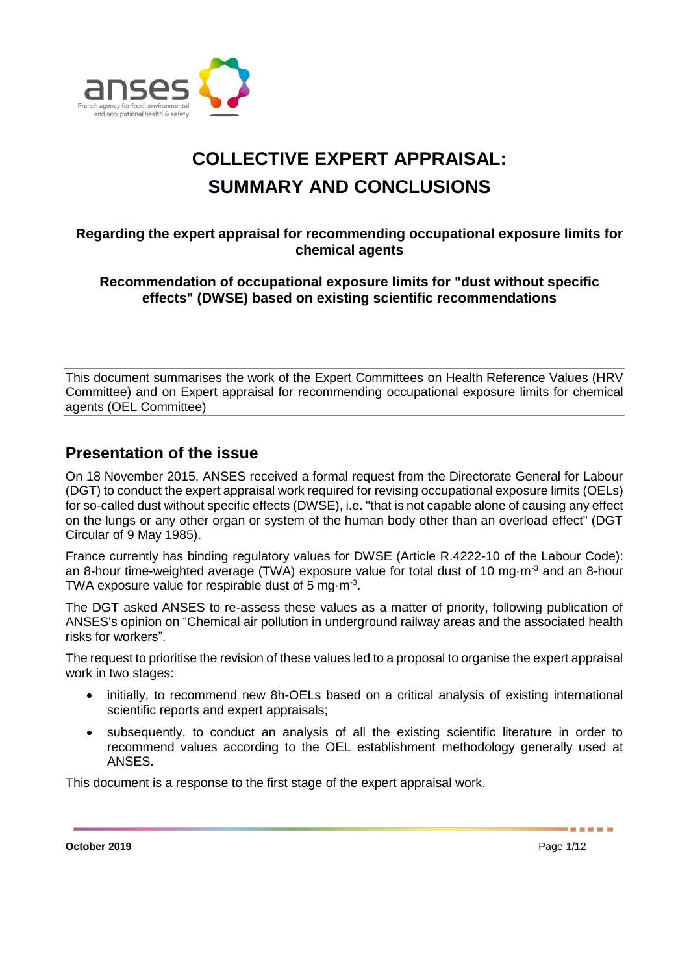

# **COLLECTIVE EXPERT APPRAISAL: SUMMARY AND CONCLUSIONS**

# **Regarding the expert appraisal for recommending occupational exposure limits for chemical agents**

**Recommendation of occupational exposure limits for "dust without specific effects" (DWSE) based on existing scientific recommendations** 

This document summarises the work of the Expert Committees on Health Reference Values (HRV Committee) and on Expert appraisal for recommending occupational exposure limits for chemical agents (OEL Committee)

# **Presentation of the issue**

On 18 November 2015, ANSES received a formal request from the Directorate General for Labour (DGT) to conduct the expert appraisal work required for revising occupational exposure limits (OELs) for so-called dust without specific effects (DWSE), i.e. "that is not capable alone of causing any effect on the lungs or any other organ or system of the human body other than an overload effect" (DGT Circular of 9 May 1985).

France currently has binding regulatory values for DWSE (Article R.4222-10 of the Labour Code): an 8-hour time-weighted average (TWA) exposure value for total dust of 10 mg·m<sup>-3</sup> and an 8-hour TWA exposure value for respirable dust of 5 mg $\cdot$ m<sup>-3</sup>.

The DGT asked ANSES to re-assess these values as a matter of priority, following publication of ANSES's opinion on "Chemical air pollution in underground railway areas and the associated health risks for workers".

The request to prioritise the revision of these values led to a proposal to organise the expert appraisal work in two stages:

- initially, to recommend new 8h-OELs based on a critical analysis of existing international scientific reports and expert appraisals;
- subsequently, to conduct an analysis of all the existing scientific literature in order to recommend values according to the OEL establishment methodology generally used at ANSES.

This document is a response to the first stage of the expert appraisal work.

**October 2019** Page 1/12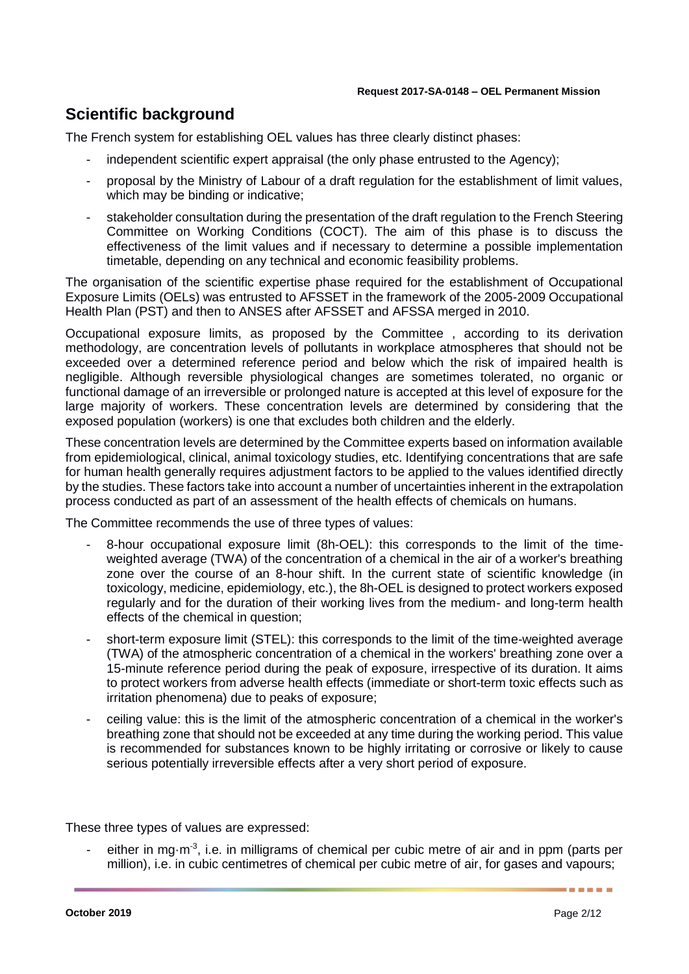# **Scientific background**

The French system for establishing OEL values has three clearly distinct phases:

- independent scientific expert appraisal (the only phase entrusted to the Agency);
- proposal by the Ministry of Labour of a draft regulation for the establishment of limit values, which may be binding or indicative;
- stakeholder consultation during the presentation of the draft regulation to the French Steering Committee on Working Conditions (COCT). The aim of this phase is to discuss the effectiveness of the limit values and if necessary to determine a possible implementation timetable, depending on any technical and economic feasibility problems.

The organisation of the scientific expertise phase required for the establishment of Occupational Exposure Limits (OELs) was entrusted to AFSSET in the framework of the 2005-2009 Occupational Health Plan (PST) and then to ANSES after AFSSET and AFSSA merged in 2010.

Occupational exposure limits, as proposed by the Committee , according to its derivation methodology, are concentration levels of pollutants in workplace atmospheres that should not be exceeded over a determined reference period and below which the risk of impaired health is negligible. Although reversible physiological changes are sometimes tolerated, no organic or functional damage of an irreversible or prolonged nature is accepted at this level of exposure for the large majority of workers. These concentration levels are determined by considering that the exposed population (workers) is one that excludes both children and the elderly.

These concentration levels are determined by the Committee experts based on information available from epidemiological, clinical, animal toxicology studies, etc. Identifying concentrations that are safe for human health generally requires adjustment factors to be applied to the values identified directly by the studies. These factors take into account a number of uncertainties inherent in the extrapolation process conducted as part of an assessment of the health effects of chemicals on humans.

The Committee recommends the use of three types of values:

- 8-hour occupational exposure limit (8h-OEL): this corresponds to the limit of the timeweighted average (TWA) of the concentration of a chemical in the air of a worker's breathing zone over the course of an 8-hour shift. In the current state of scientific knowledge (in toxicology, medicine, epidemiology, etc.), the 8h-OEL is designed to protect workers exposed regularly and for the duration of their working lives from the medium- and long-term health effects of the chemical in question;
- short-term exposure limit (STEL): this corresponds to the limit of the time-weighted average (TWA) of the atmospheric concentration of a chemical in the workers' breathing zone over a 15-minute reference period during the peak of exposure, irrespective of its duration. It aims to protect workers from adverse health effects (immediate or short-term toxic effects such as irritation phenomena) due to peaks of exposure;
- ceiling value: this is the limit of the atmospheric concentration of a chemical in the worker's breathing zone that should not be exceeded at any time during the working period. This value is recommended for substances known to be highly irritating or corrosive or likely to cause serious potentially irreversible effects after a very short period of exposure.

These three types of values are expressed:

- either in mg $\cdot$ m<sup>-3</sup>, i.e. in milligrams of chemical per cubic metre of air and in ppm (parts per million), i.e. in cubic centimetres of chemical per cubic metre of air, for gases and vapours;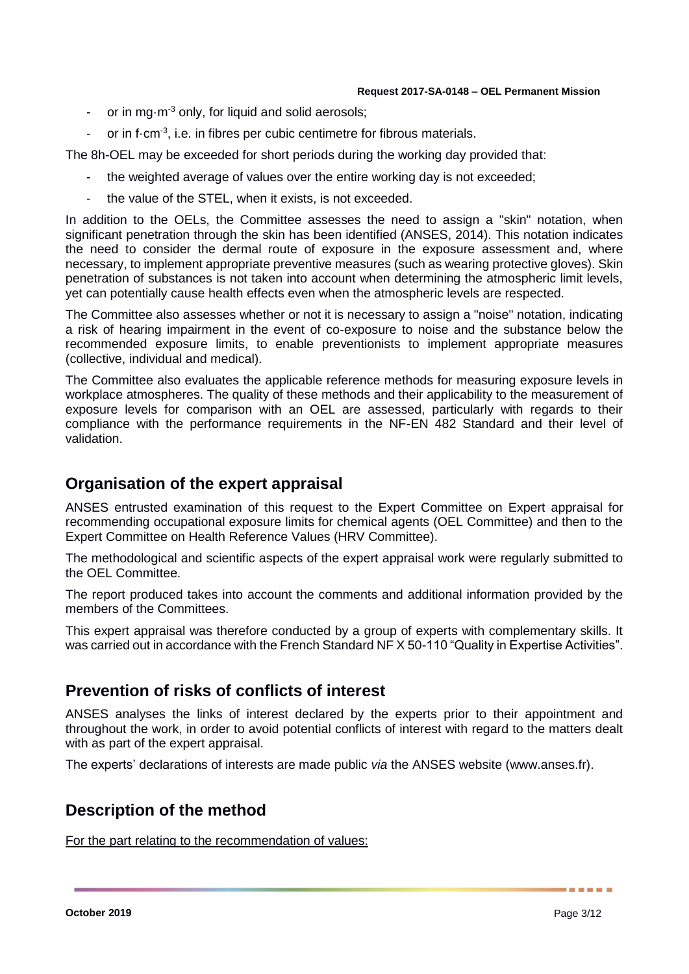- or in mg $\cdot$ m<sup>-3</sup> only, for liquid and solid aerosols;
- or in f $\cdot$ cm<sup>-3</sup>, i.e. in fibres per cubic centimetre for fibrous materials.

The 8h-OEL may be exceeded for short periods during the working day provided that:

- the weighted average of values over the entire working day is not exceeded;
- the value of the STEL, when it exists, is not exceeded.

In addition to the OELs, the Committee assesses the need to assign a "skin" notation, when significant penetration through the skin has been identified (ANSES, 2014). This notation indicates the need to consider the dermal route of exposure in the exposure assessment and, where necessary, to implement appropriate preventive measures (such as wearing protective gloves). Skin penetration of substances is not taken into account when determining the atmospheric limit levels, yet can potentially cause health effects even when the atmospheric levels are respected.

The Committee also assesses whether or not it is necessary to assign a "noise" notation, indicating a risk of hearing impairment in the event of co-exposure to noise and the substance below the recommended exposure limits, to enable preventionists to implement appropriate measures (collective, individual and medical).

The Committee also evaluates the applicable reference methods for measuring exposure levels in workplace atmospheres. The quality of these methods and their applicability to the measurement of exposure levels for comparison with an OEL are assessed, particularly with regards to their compliance with the performance requirements in the NF-EN 482 Standard and their level of validation.

# **Organisation of the expert appraisal**

ANSES entrusted examination of this request to the Expert Committee on Expert appraisal for recommending occupational exposure limits for chemical agents (OEL Committee) and then to the Expert Committee on Health Reference Values (HRV Committee).

The methodological and scientific aspects of the expert appraisal work were regularly submitted to the OEL Committee.

The report produced takes into account the comments and additional information provided by the members of the Committees.

This expert appraisal was therefore conducted by a group of experts with complementary skills. It was carried out in accordance with the French Standard NF X 50-110 "Quality in Expertise Activities".

# **Prevention of risks of conflicts of interest**

ANSES analyses the links of interest declared by the experts prior to their appointment and throughout the work, in order to avoid potential conflicts of interest with regard to the matters dealt with as part of the expert appraisal.

The experts' declarations of interests are made public *via* the ANSES website (www.anses.fr).

# **Description of the method**

For the part relating to the recommendation of values:

. . . . . .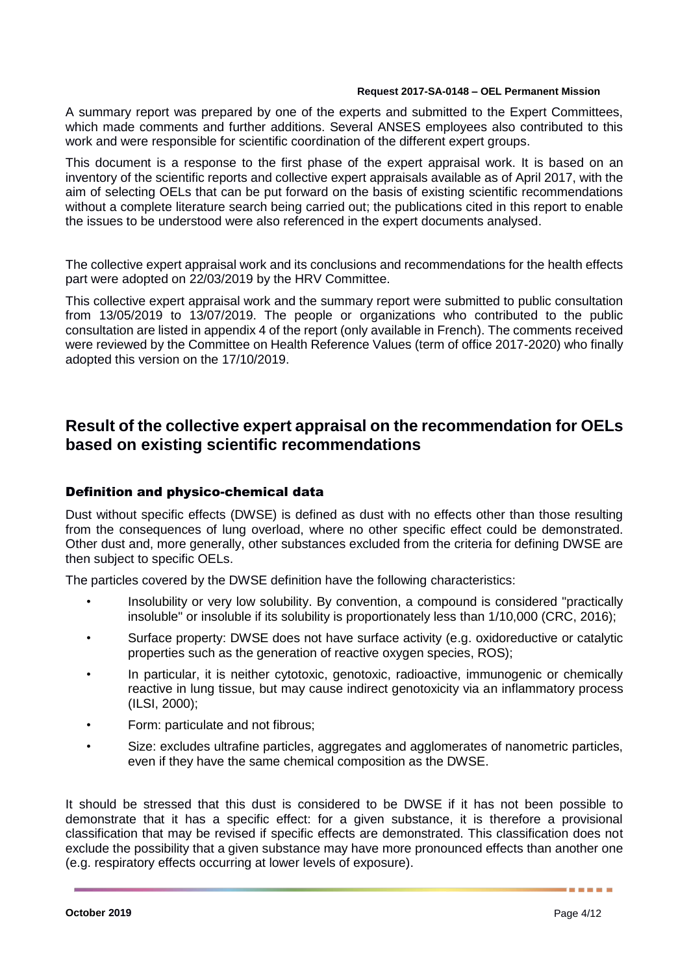A summary report was prepared by one of the experts and submitted to the Expert Committees, which made comments and further additions. Several ANSES employees also contributed to this work and were responsible for scientific coordination of the different expert groups.

This document is a response to the first phase of the expert appraisal work. It is based on an inventory of the scientific reports and collective expert appraisals available as of April 2017, with the aim of selecting OELs that can be put forward on the basis of existing scientific recommendations without a complete literature search being carried out; the publications cited in this report to enable the issues to be understood were also referenced in the expert documents analysed.

The collective expert appraisal work and its conclusions and recommendations for the health effects part were adopted on 22/03/2019 by the HRV Committee.

This collective expert appraisal work and the summary report were submitted to public consultation from 13/05/2019 to 13/07/2019. The people or organizations who contributed to the public consultation are listed in appendix 4 of the report (only available in French). The comments received were reviewed by the Committee on Health Reference Values (term of office 2017-2020) who finally adopted this version on the 17/10/2019.

# **Result of the collective expert appraisal on the recommendation for OELs based on existing scientific recommendations**

## Definition and physico-chemical data

Dust without specific effects (DWSE) is defined as dust with no effects other than those resulting from the consequences of lung overload, where no other specific effect could be demonstrated. Other dust and, more generally, other substances excluded from the criteria for defining DWSE are then subject to specific OELs.

The particles covered by the DWSE definition have the following characteristics:

- Insolubility or very low solubility. By convention, a compound is considered "practically insoluble" or insoluble if its solubility is proportionately less than 1/10,000 (CRC, 2016);
- Surface property: DWSE does not have surface activity (e.g. oxidoreductive or catalytic properties such as the generation of reactive oxygen species, ROS);
- In particular, it is neither cytotoxic, genotoxic, radioactive, immunogenic or chemically reactive in lung tissue, but may cause indirect genotoxicity via an inflammatory process (ILSI, 2000);
- Form: particulate and not fibrous;
- Size: excludes ultrafine particles, aggregates and agglomerates of nanometric particles, even if they have the same chemical composition as the DWSE.

It should be stressed that this dust is considered to be DWSE if it has not been possible to demonstrate that it has a specific effect: for a given substance, it is therefore a provisional classification that may be revised if specific effects are demonstrated. This classification does not exclude the possibility that a given substance may have more pronounced effects than another one (e.g. respiratory effects occurring at lower levels of exposure).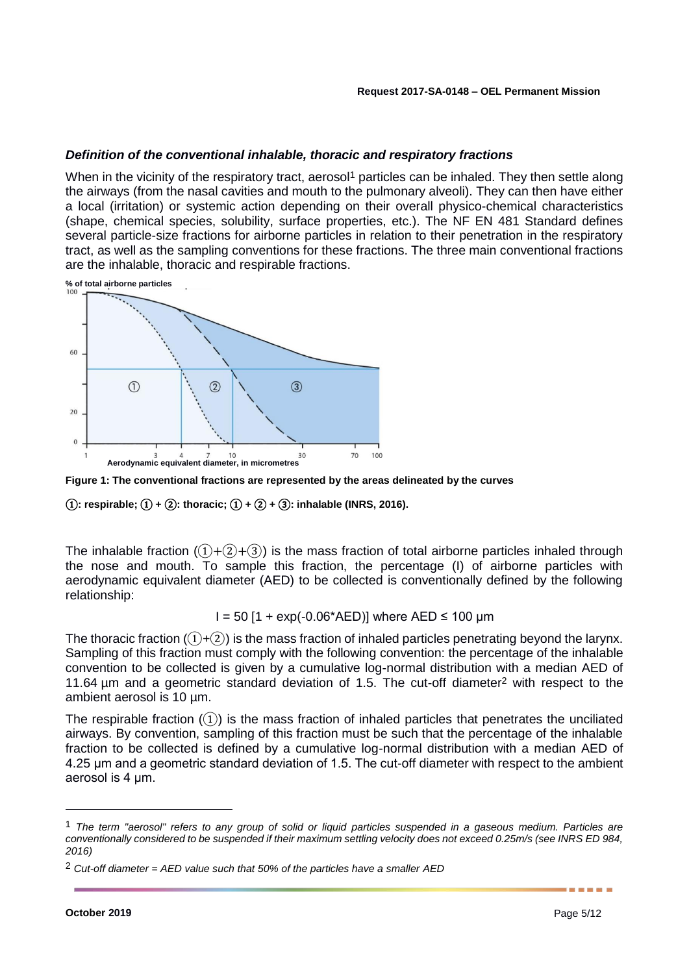## *Definition of the conventional inhalable, thoracic and respiratory fractions*

When in the vicinity of the respiratory tract, aerosol<sup>1</sup> particles can be inhaled. They then settle along the airways (from the nasal cavities and mouth to the pulmonary alveoli). They can then have either a local (irritation) or systemic action depending on their overall physico-chemical characteristics (shape, chemical species, solubility, surface properties, etc.). The NF EN 481 Standard defines several particle-size fractions for airborne particles in relation to their penetration in the respiratory tract, as well as the sampling conventions for these fractions. The three main conventional fractions are the inhalable, thoracic and respirable fractions.

**% of total airborne particles**



**Figure 1: The conventional fractions are represented by the areas delineated by the curves**

①**: respirable;** ① **+** ②**: thoracic;** ① **+** ② **+** ③**: inhalable (INRS, 2016).**

The inhalable fraction  $(1+(2)+(3))$  is the mass fraction of total airborne particles inhaled through the nose and mouth. To sample this fraction, the percentage (I) of airborne particles with aerodynamic equivalent diameter (AED) to be collected is conventionally defined by the following relationship:

 $I = 50$  [1 + exp(-0.06\*AED)] where AED  $\leq 100$  µm

The thoracic fraction  $(1)+(2)$  is the mass fraction of inhaled particles penetrating beyond the larynx. Sampling of this fraction must comply with the following convention: the percentage of the inhalable convention to be collected is given by a cumulative log-normal distribution with a median AED of 11.64 µm and a geometric standard deviation of 1.5. The cut-off diameter<sup>2</sup> with respect to the ambient aerosol is 10 µm.

The respirable fraction  $(1)$  is the mass fraction of inhaled particles that penetrates the unciliated airways. By convention, sampling of this fraction must be such that the percentage of the inhalable fraction to be collected is defined by a cumulative log-normal distribution with a median AED of 4.25 μm and a geometric standard deviation of 1.5. The cut-off diameter with respect to the ambient aerosol is 4 μm.

-

<sup>1</sup> *The term "aerosol" refers to any group of solid or liquid particles suspended in a gaseous medium. Particles are conventionally considered to be suspended if their maximum settling velocity does not exceed 0.25m/s (see INRS ED 984, 2016)*

<sup>2</sup> *Cut-off diameter = AED value such that 50% of the particles have a smaller AED*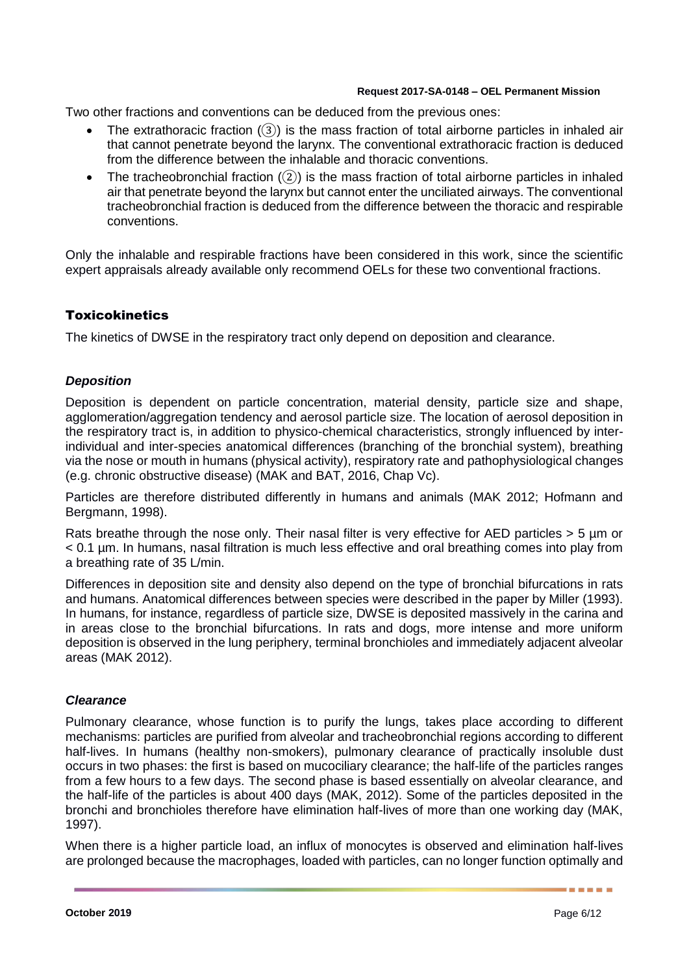Two other fractions and conventions can be deduced from the previous ones:

- The extrathoracic fraction  $(3)$  is the mass fraction of total airborne particles in inhaled air that cannot penetrate beyond the larynx. The conventional extrathoracic fraction is deduced from the difference between the inhalable and thoracic conventions.
- The tracheobronchial fraction  $(2)$ ) is the mass fraction of total airborne particles in inhaled air that penetrate beyond the larynx but cannot enter the unciliated airways. The conventional tracheobronchial fraction is deduced from the difference between the thoracic and respirable conventions.

Only the inhalable and respirable fractions have been considered in this work, since the scientific expert appraisals already available only recommend OELs for these two conventional fractions.

# **Toxicokinetics**

The kinetics of DWSE in the respiratory tract only depend on deposition and clearance.

## *Deposition*

Deposition is dependent on particle concentration, material density, particle size and shape, agglomeration/aggregation tendency and aerosol particle size. The location of aerosol deposition in the respiratory tract is, in addition to physico-chemical characteristics, strongly influenced by interindividual and inter-species anatomical differences (branching of the bronchial system), breathing via the nose or mouth in humans (physical activity), respiratory rate and pathophysiological changes (e.g. chronic obstructive disease) (MAK and BAT, 2016, Chap Vc).

Particles are therefore distributed differently in humans and animals (MAK 2012; Hofmann and Bergmann, 1998).

Rats breathe through the nose only. Their nasal filter is very effective for AED particles > 5 um or < 0.1 µm. In humans, nasal filtration is much less effective and oral breathing comes into play from a breathing rate of 35 L/min.

Differences in deposition site and density also depend on the type of bronchial bifurcations in rats and humans. Anatomical differences between species were described in the paper by Miller (1993). In humans, for instance, regardless of particle size, DWSE is deposited massively in the carina and in areas close to the bronchial bifurcations. In rats and dogs, more intense and more uniform deposition is observed in the lung periphery, terminal bronchioles and immediately adjacent alveolar areas (MAK 2012).

## *Clearance*

Pulmonary clearance, whose function is to purify the lungs, takes place according to different mechanisms: particles are purified from alveolar and tracheobronchial regions according to different half-lives. In humans (healthy non-smokers), pulmonary clearance of practically insoluble dust occurs in two phases: the first is based on mucociliary clearance; the half-life of the particles ranges from a few hours to a few days. The second phase is based essentially on alveolar clearance, and the half-life of the particles is about 400 days (MAK, 2012). Some of the particles deposited in the bronchi and bronchioles therefore have elimination half-lives of more than one working day (MAK, 1997).

When there is a higher particle load, an influx of monocytes is observed and elimination half-lives are prolonged because the macrophages, loaded with particles, can no longer function optimally and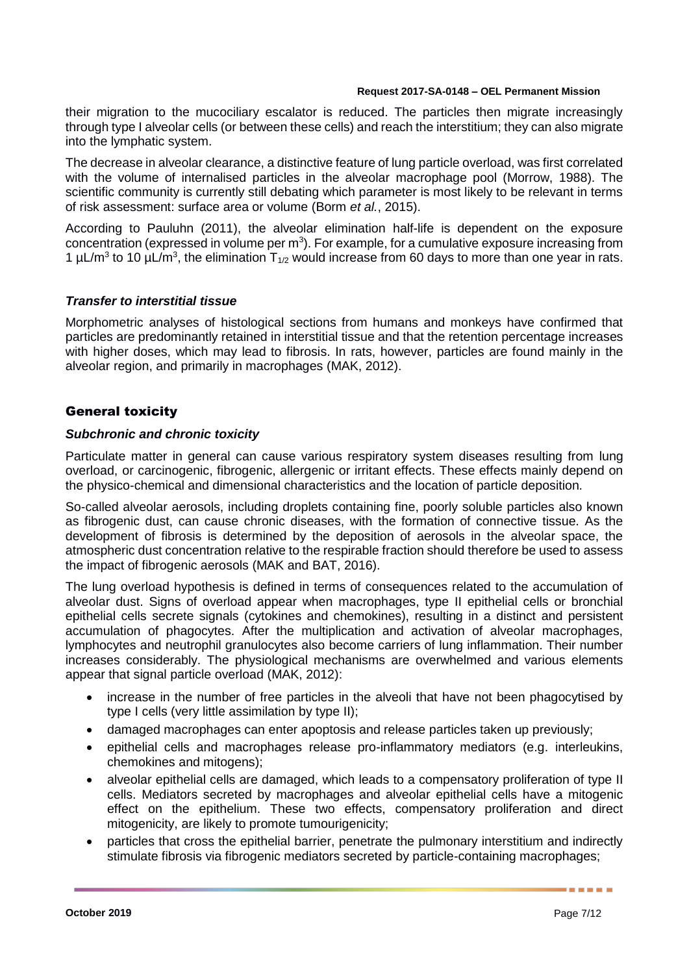their migration to the mucociliary escalator is reduced. The particles then migrate increasingly through type I alveolar cells (or between these cells) and reach the interstitium; they can also migrate into the lymphatic system.

The decrease in alveolar clearance, a distinctive feature of lung particle overload, was first correlated with the volume of internalised particles in the alveolar macrophage pool (Morrow, 1988). The scientific community is currently still debating which parameter is most likely to be relevant in terms of risk assessment: surface area or volume (Borm *et al.*, 2015).

According to Pauluhn (2011), the alveolar elimination half-life is dependent on the exposure concentration (expressed in volume per  $m<sup>3</sup>$ ). For example, for a cumulative exposure increasing from 1  $\mu$ L/m<sup>3</sup> to 10  $\mu$ L/m<sup>3</sup>, the elimination T<sub>1/2</sub> would increase from 60 days to more than one year in rats.

## *Transfer to interstitial tissue*

Morphometric analyses of histological sections from humans and monkeys have confirmed that particles are predominantly retained in interstitial tissue and that the retention percentage increases with higher doses, which may lead to fibrosis. In rats, however, particles are found mainly in the alveolar region, and primarily in macrophages (MAK, 2012).

## General toxicity

## *Subchronic and chronic toxicity*

Particulate matter in general can cause various respiratory system diseases resulting from lung overload, or carcinogenic, fibrogenic, allergenic or irritant effects. These effects mainly depend on the physico-chemical and dimensional characteristics and the location of particle deposition.

So-called alveolar aerosols, including droplets containing fine, poorly soluble particles also known as fibrogenic dust, can cause chronic diseases, with the formation of connective tissue. As the development of fibrosis is determined by the deposition of aerosols in the alveolar space, the atmospheric dust concentration relative to the respirable fraction should therefore be used to assess the impact of fibrogenic aerosols (MAK and BAT, 2016).

The lung overload hypothesis is defined in terms of consequences related to the accumulation of alveolar dust. Signs of overload appear when macrophages, type II epithelial cells or bronchial epithelial cells secrete signals (cytokines and chemokines), resulting in a distinct and persistent accumulation of phagocytes. After the multiplication and activation of alveolar macrophages, lymphocytes and neutrophil granulocytes also become carriers of lung inflammation. Their number increases considerably. The physiological mechanisms are overwhelmed and various elements appear that signal particle overload (MAK, 2012):

- increase in the number of free particles in the alveoli that have not been phagocytised by type I cells (very little assimilation by type II);
- damaged macrophages can enter apoptosis and release particles taken up previously;
- epithelial cells and macrophages release pro-inflammatory mediators (e.g. interleukins, chemokines and mitogens);
- alveolar epithelial cells are damaged, which leads to a compensatory proliferation of type II cells. Mediators secreted by macrophages and alveolar epithelial cells have a mitogenic effect on the epithelium. These two effects, compensatory proliferation and direct mitogenicity, are likely to promote tumourigenicity;
- particles that cross the epithelial barrier, penetrate the pulmonary interstitium and indirectly stimulate fibrosis via fibrogenic mediators secreted by particle-containing macrophages;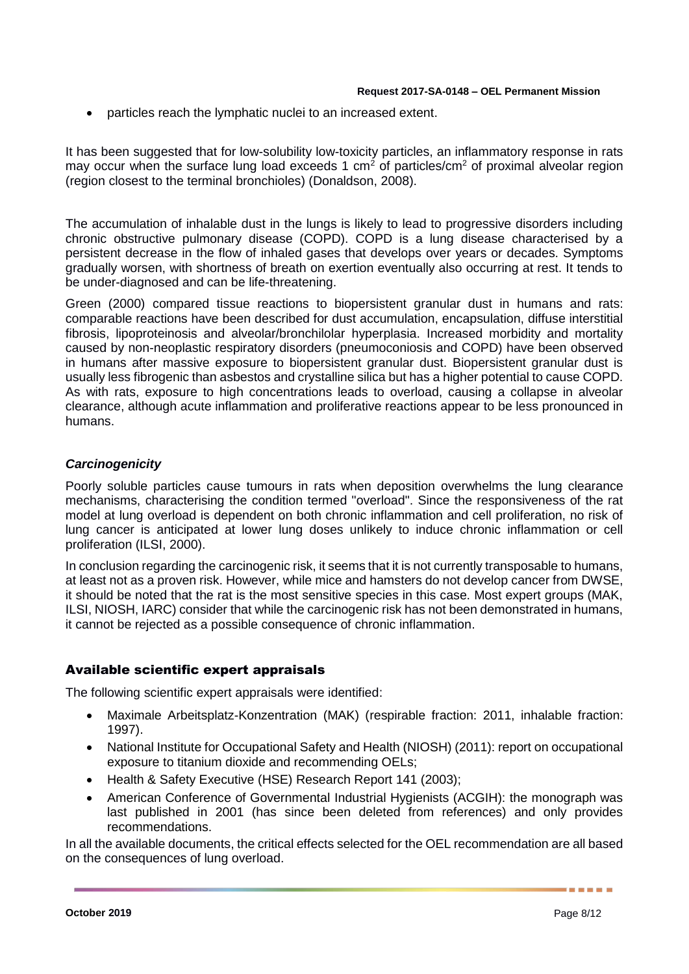particles reach the lymphatic nuclei to an increased extent.

It has been suggested that for low-solubility low-toxicity particles, an inflammatory response in rats may occur when the surface lung load exceeds 1  $\text{cm}^2$  of particles/ $\text{cm}^2$  of proximal alveolar region (region closest to the terminal bronchioles) (Donaldson, 2008).

The accumulation of inhalable dust in the lungs is likely to lead to progressive disorders including chronic obstructive pulmonary disease (COPD). COPD is a lung disease characterised by a persistent decrease in the flow of inhaled gases that develops over years or decades. Symptoms gradually worsen, with shortness of breath on exertion eventually also occurring at rest. It tends to be under-diagnosed and can be life-threatening.

Green (2000) compared tissue reactions to biopersistent granular dust in humans and rats: comparable reactions have been described for dust accumulation, encapsulation, diffuse interstitial fibrosis, lipoproteinosis and alveolar/bronchilolar hyperplasia. Increased morbidity and mortality caused by non-neoplastic respiratory disorders (pneumoconiosis and COPD) have been observed in humans after massive exposure to biopersistent granular dust. Biopersistent granular dust is usually less fibrogenic than asbestos and crystalline silica but has a higher potential to cause COPD. As with rats, exposure to high concentrations leads to overload, causing a collapse in alveolar clearance, although acute inflammation and proliferative reactions appear to be less pronounced in humans.

# *Carcinogenicity*

Poorly soluble particles cause tumours in rats when deposition overwhelms the lung clearance mechanisms, characterising the condition termed "overload". Since the responsiveness of the rat model at lung overload is dependent on both chronic inflammation and cell proliferation, no risk of lung cancer is anticipated at lower lung doses unlikely to induce chronic inflammation or cell proliferation (ILSI, 2000).

In conclusion regarding the carcinogenic risk, it seems that it is not currently transposable to humans, at least not as a proven risk. However, while mice and hamsters do not develop cancer from DWSE, it should be noted that the rat is the most sensitive species in this case. Most expert groups (MAK, ILSI, NIOSH, IARC) consider that while the carcinogenic risk has not been demonstrated in humans, it cannot be rejected as a possible consequence of chronic inflammation.

# Available scientific expert appraisals

The following scientific expert appraisals were identified:

- Maximale Arbeitsplatz-Konzentration (MAK) (respirable fraction: 2011, inhalable fraction: 1997).
- National Institute for Occupational Safety and Health (NIOSH) (2011): report on occupational exposure to titanium dioxide and recommending OELs;
- Health & Safety Executive (HSE) Research Report 141 (2003);
- American Conference of Governmental Industrial Hygienists (ACGIH): the monograph was last published in 2001 (has since been deleted from references) and only provides recommendations.

In all the available documents, the critical effects selected for the OEL recommendation are all based on the consequences of lung overload.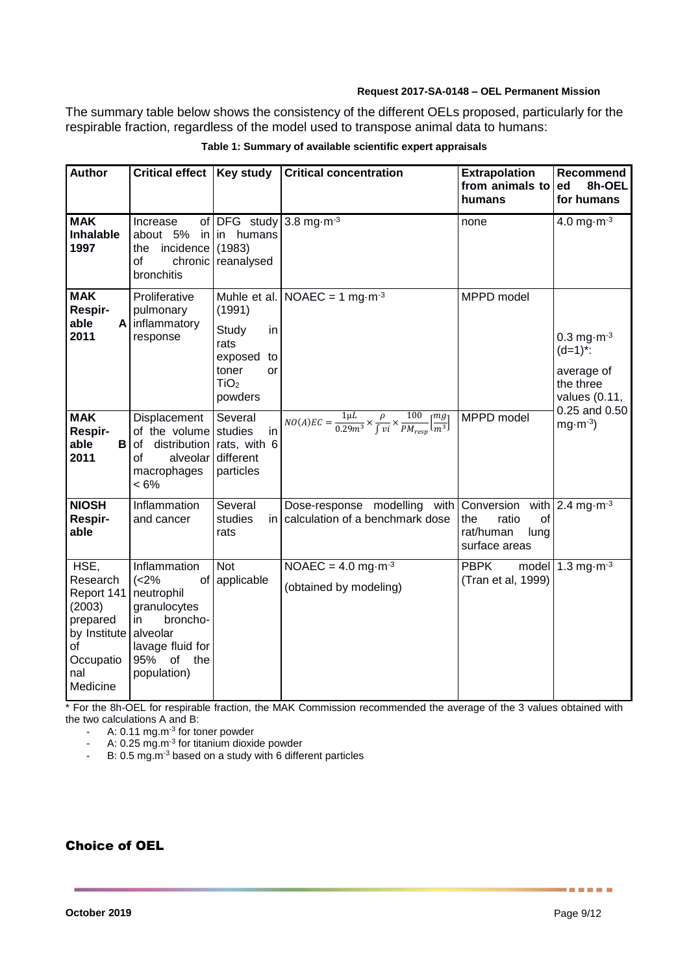The summary table below shows the consistency of the different OELs proposed, particularly for the respirable fraction, regardless of the model used to transpose animal data to humans:

| <b>Author</b>                                                                                              | Critical effect   Key study                                                                                                          |                                                                                              | <b>Critical concentration</b>                                                                                              | <b>Extrapolation</b><br>from animals to<br>humans        | Recommend<br>8h-OEL<br>ed<br>for humans                                                       |
|------------------------------------------------------------------------------------------------------------|--------------------------------------------------------------------------------------------------------------------------------------|----------------------------------------------------------------------------------------------|----------------------------------------------------------------------------------------------------------------------------|----------------------------------------------------------|-----------------------------------------------------------------------------------------------|
| <b>MAK</b><br>Inhalable<br>1997                                                                            | Increase<br>about 5%<br>incidence<br>the<br>оf<br>bronchitis                                                                         | of DFG study<br>in in humans<br>(1983)<br>chronic reanalysed                                 | 3.8 mg $\cdot$ m $^{-3}$                                                                                                   | none                                                     | 4.0 mg $\cdot$ m $^{-3}$                                                                      |
| <b>MAK</b><br>Respir-<br>able<br>2011                                                                      | Proliferative<br>pulmonary<br>A inflammatory<br>response                                                                             | (1991)<br>in<br>Study<br>rats<br>exposed<br>to<br>toner<br>or<br>TiO <sub>2</sub><br>powders | Muhle et al. NOAEC = 1 mg $\cdot$ m <sup>-3</sup>                                                                          | MPPD model                                               | $0.3$ mg $\cdot$ m <sup>-3</sup><br>$(d=1)^{*}$ :<br>average of<br>the three<br>values (0.11, |
| <b>MAK</b><br>Respir-<br>able<br>в<br>2011                                                                 | Displacement<br>of the volume studies<br>distribution<br>οf<br>alveolar<br>of<br>macrophages<br>$< 6\%$                              | Several<br>in<br>rats, with 6<br>different<br>particles                                      | $NO(A)EC = \frac{1 \mu L}{0.29 m^3} \times \frac{\rho}{\int v i} \times \frac{100}{PM_{resp}} \left[\frac{mg}{m^3}\right]$ | MPPD model                                               | 0.25 and 0.50<br>$mg·m-3$                                                                     |
| <b>NIOSH</b><br>Respir-<br>able                                                                            | Inflammation<br>and cancer                                                                                                           | Several<br>studies<br>rats                                                                   | Dose-response modelling with Conversion<br>in calculation of a benchmark dose                                              | ratio<br>the<br>οf<br>rat/human<br>lung<br>surface areas | with 2.4 mg $m3$                                                                              |
| HSE,<br>Research<br>Report 141<br>(2003)<br>prepared<br>by Institute<br>of<br>Occupatio<br>nal<br>Medicine | Inflammation<br>(<2%<br>neutrophil<br>granulocytes<br>broncho-<br>in<br>alveolar<br>lavage fluid for<br>95% of<br>the<br>population) | <b>Not</b><br>of applicable                                                                  | NOAEC = $4.0$ mg $\cdot$ m <sup>-3</sup><br>(obtained by modeling)                                                         | <b>PBPK</b><br>model<br>(Tran et al, 1999)               | 1.3 mg $\cdot$ m $^{-3}$                                                                      |

#### **Table 1: Summary of available scientific expert appraisals**

\* For the 8h-OEL for respirable fraction, the MAK Commission recommended the average of the 3 values obtained with the two calculations A and B:

- A: 0.11 mg.m<sup>-3</sup> for toner powder

- A: 0.25 mg.m<sup>-3</sup> for titanium dioxide powder

 $-$  B: 0.5 mg.m<sup>-3</sup> based on a study with 6 different particles

Choice of OEL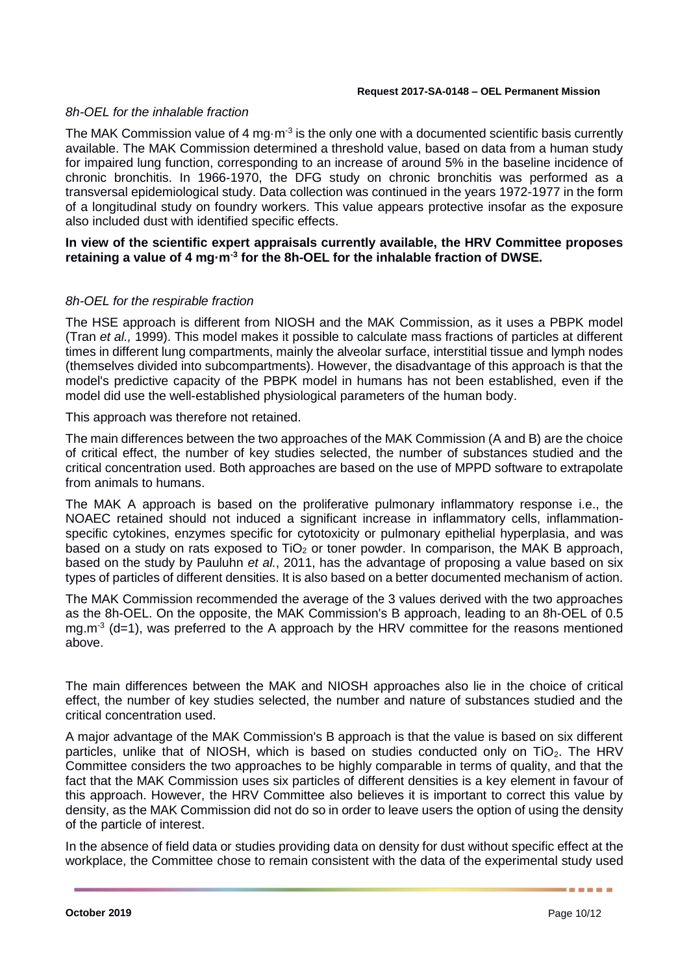## *8h-OEL for the inhalable fraction*

The MAK Commission value of 4 mg $\cdot$ m<sup>-3</sup> is the only one with a documented scientific basis currently available. The MAK Commission determined a threshold value, based on data from a human study for impaired lung function, corresponding to an increase of around 5% in the baseline incidence of chronic bronchitis. In 1966-1970, the DFG study on chronic bronchitis was performed as a transversal epidemiological study. Data collection was continued in the years 1972-1977 in the form of a longitudinal study on foundry workers. This value appears protective insofar as the exposure also included dust with identified specific effects.

## **In view of the scientific expert appraisals currently available, the HRV Committee proposes retaining a value of 4 mg·m-3 for the 8h-OEL for the inhalable fraction of DWSE.**

## *8h-OEL for the respirable fraction*

The HSE approach is different from NIOSH and the MAK Commission, as it uses a PBPK model (Tran *et al.,* 1999). This model makes it possible to calculate mass fractions of particles at different times in different lung compartments, mainly the alveolar surface, interstitial tissue and lymph nodes (themselves divided into subcompartments). However, the disadvantage of this approach is that the model's predictive capacity of the PBPK model in humans has not been established, even if the model did use the well-established physiological parameters of the human body.

This approach was therefore not retained.

The main differences between the two approaches of the MAK Commission (A and B) are the choice of critical effect, the number of key studies selected, the number of substances studied and the critical concentration used. Both approaches are based on the use of MPPD software to extrapolate from animals to humans.

The MAK A approach is based on the proliferative pulmonary inflammatory response i.e., the NOAEC retained should not induced a significant increase in inflammatory cells, inflammationspecific cytokines, enzymes specific for cytotoxicity or pulmonary epithelial hyperplasia, and was based on a study on rats exposed to  $TiO<sub>2</sub>$  or toner powder. In comparison, the MAK B approach, based on the study by Pauluhn *et al.*, 2011, has the advantage of proposing a value based on six types of particles of different densities. It is also based on a better documented mechanism of action.

The MAK Commission recommended the average of the 3 values derived with the two approaches as the 8h-OEL. On the opposite, the MAK Commission's B approach, leading to an 8h-OEL of 0.5 mg.m<sup>-3</sup> (d=1), was preferred to the A approach by the HRV committee for the reasons mentioned above.

The main differences between the MAK and NIOSH approaches also lie in the choice of critical effect, the number of key studies selected, the number and nature of substances studied and the critical concentration used.

A major advantage of the MAK Commission's B approach is that the value is based on six different particles, unlike that of NIOSH, which is based on studies conducted only on  $TiO<sub>2</sub>$ . The HRV Committee considers the two approaches to be highly comparable in terms of quality, and that the fact that the MAK Commission uses six particles of different densities is a key element in favour of this approach. However, the HRV Committee also believes it is important to correct this value by density, as the MAK Commission did not do so in order to leave users the option of using the density of the particle of interest.

In the absence of field data or studies providing data on density for dust without specific effect at the workplace, the Committee chose to remain consistent with the data of the experimental study used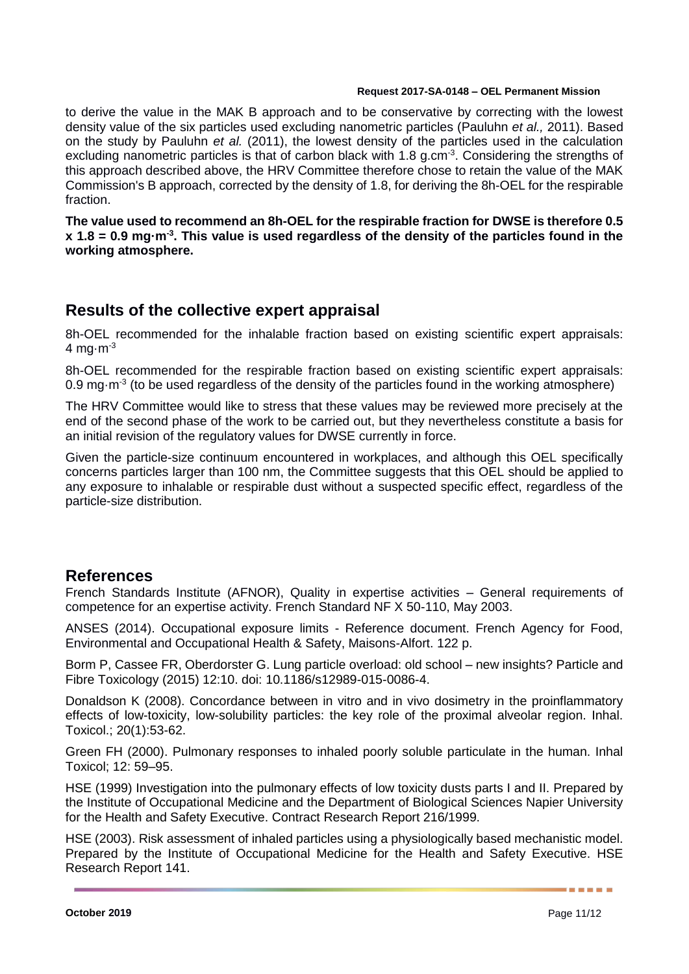to derive the value in the MAK B approach and to be conservative by correcting with the lowest density value of the six particles used excluding nanometric particles (Pauluhn *et al.,* 2011). Based on the study by Pauluhn *et al.* (2011), the lowest density of the particles used in the calculation excluding nanometric particles is that of carbon black with 1.8 g.cm<sup>-3</sup>. Considering the strengths of this approach described above, the HRV Committee therefore chose to retain the value of the MAK Commission's B approach, corrected by the density of 1.8, for deriving the 8h-OEL for the respirable fraction.

**The value used to recommend an 8h-OEL for the respirable fraction for DWSE is therefore 0.5 x 1.8 = 0.9 mg·m-3 . This value is used regardless of the density of the particles found in the working atmosphere.**

# **Results of the collective expert appraisal**

8h-OEL recommended for the inhalable fraction based on existing scientific expert appraisals: 4 mg $\cdot$ m $^{-3}$ 

8h-OEL recommended for the respirable fraction based on existing scientific expert appraisals: 0.9 mg $\cdot$ m<sup>-3</sup> (to be used regardless of the density of the particles found in the working atmosphere)

The HRV Committee would like to stress that these values may be reviewed more precisely at the end of the second phase of the work to be carried out, but they nevertheless constitute a basis for an initial revision of the regulatory values for DWSE currently in force.

Given the particle-size continuum encountered in workplaces, and although this OEL specifically concerns particles larger than 100 nm, the Committee suggests that this OEL should be applied to any exposure to inhalable or respirable dust without a suspected specific effect, regardless of the particle-size distribution.

# **References**

French Standards Institute (AFNOR), Quality in expertise activities – General requirements of competence for an expertise activity. French Standard NF X 50-110, May 2003.

ANSES (2014). Occupational exposure limits - Reference document. French Agency for Food, Environmental and Occupational Health & Safety, Maisons-Alfort. 122 p.

Borm P, Cassee FR, Oberdorster G. Lung particle overload: old school – new insights? Particle and Fibre Toxicology (2015) 12:10. doi: 10.1186/s12989-015-0086-4.

Donaldson K (2008). Concordance between in vitro and in vivo dosimetry in the proinflammatory effects of low-toxicity, low-solubility particles: the key role of the proximal alveolar region. Inhal. Toxicol.; 20(1):53-62.

Green FH (2000). Pulmonary responses to inhaled poorly soluble particulate in the human. Inhal Toxicol; 12: 59–95.

HSE (1999) Investigation into the pulmonary effects of low toxicity dusts parts I and II. Prepared by the Institute of Occupational Medicine and the Department of Biological Sciences Napier University for the Health and Safety Executive. Contract Research Report 216/1999.

HSE (2003). Risk assessment of inhaled particles using a physiologically based mechanistic model. Prepared by the Institute of Occupational Medicine for the Health and Safety Executive. HSE Research Report 141.